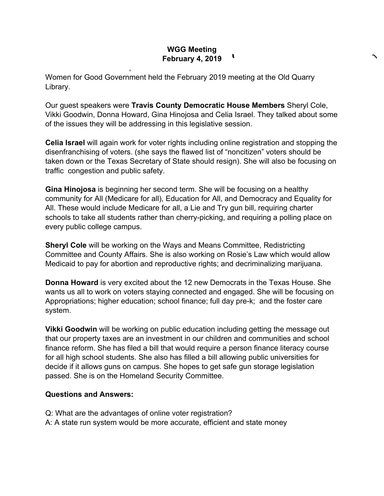## **WGG Meeting**  , **February 4, 2019**

Women for Good Government held the February 2019 meeting at the Old Quarry Library.

,

Our guest speakers were **Travis County Democratic House Members** Sheryl Cole, Vikki Goodwin, Donna Howard, Gina Hinojosa and Celia Israel. They talked about some of the issues they will be addressing in this legislative session.

**Celia Israel** will again work for voter rights including online registration and stopping the disenfranchising of voters. (she says the flawed list of "noncitizen" voters should be taken down or the Texas Secretary of State should resign). She will also be focusing on traffic congestion and public safety.

**Gina Hinojosa** is beginning her second term. She will be focusing on a healthy community for All (Medicare for all), Education for All, and Democracy and Equality for All. These would include Medicare for all, a Lie and Try gun bill, requiring charter schools to take all students rather than cherry-picking, and requiring a polling place on every public college campus.

**Sheryl Cole** will be working on the Ways and Means Committee, Redistricting Committee and County Affairs. She is also working on Rosie's Law which would allow Medicaid to pay for abortion and reproductive rights; and decriminalizing marijuana.

**Donna Howard** is very excited about the 12 new Democrats in the Texas House. She wants us all to work on voters staying connected and engaged. She will be focusing on Appropriations; higher education; school finance; full day pre-k; and the foster care system.

**Vikki Goodwin** will be working on public education including getting the message out that our property taxes are an investment in our children and communities and school finance reform. She has filed a bill that would require a person finance literacy course for all high school students. She also has filled a bill allowing public universities for decide if it allows guns on campus. She hopes to get safe gun storage legislation passed. She is on the Homeland Security Committee.

## **Questions and Answers:**

Q: What are the advantages of online voter registration?

A: A state run system would be more accurate, efficient and state money